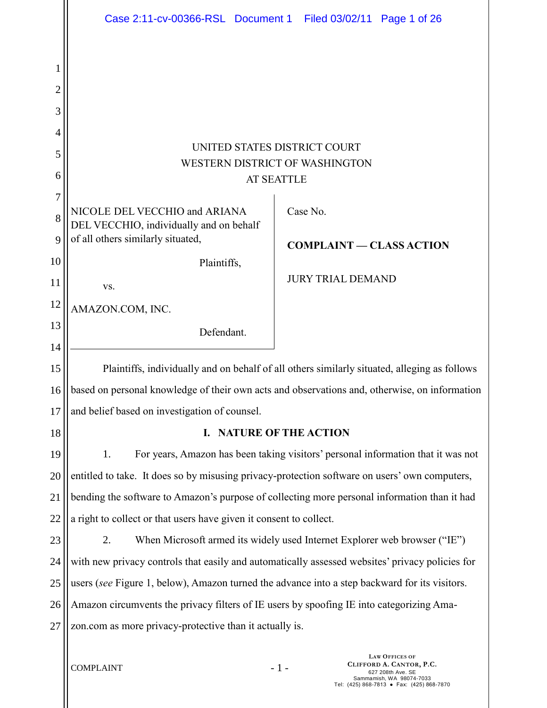|                                                      | Case 2:11-cv-00366-RSL Document 1 Filed 03/02/11 Page 1 of 26                                   |                   |                          |                                                                       |  |
|------------------------------------------------------|-------------------------------------------------------------------------------------------------|-------------------|--------------------------|-----------------------------------------------------------------------|--|
| 1<br>$\overline{2}$<br>3<br>$\overline{4}$<br>5<br>6 | UNITED STATES DISTRICT COURT<br><b>WESTERN DISTRICT OF WASHINGTON</b>                           | <b>AT SEATTLE</b> |                          |                                                                       |  |
| 7                                                    |                                                                                                 |                   |                          |                                                                       |  |
| 8                                                    | NICOLE DEL VECCHIO and ARIANA<br>DEL VECCHIO, individually and on behalf                        | Case No.          |                          |                                                                       |  |
| 9                                                    | of all others similarly situated,                                                               |                   |                          | <b>COMPLAINT — CLASS ACTION</b>                                       |  |
| 10                                                   | Plaintiffs,                                                                                     |                   | <b>JURY TRIAL DEMAND</b> |                                                                       |  |
| 11                                                   | VS.                                                                                             |                   |                          |                                                                       |  |
| 12                                                   | AMAZON.COM, INC.                                                                                |                   |                          |                                                                       |  |
| 13                                                   | Defendant.                                                                                      |                   |                          |                                                                       |  |
| 14                                                   |                                                                                                 |                   |                          |                                                                       |  |
| 15                                                   | Plaintiffs, individually and on behalf of all others similarly situated, alleging as follows    |                   |                          |                                                                       |  |
| 16                                                   | based on personal knowledge of their own acts and observations and, otherwise, on information   |                   |                          |                                                                       |  |
| 17                                                   | and belief based on investigation of counsel.                                                   |                   |                          |                                                                       |  |
| 18                                                   | I. NATURE OF THE ACTION                                                                         |                   |                          |                                                                       |  |
| 19                                                   | For years, Amazon has been taking visitors' personal information that it was not<br>1.          |                   |                          |                                                                       |  |
| 20                                                   | entitled to take. It does so by misusing privacy-protection software on users' own computers,   |                   |                          |                                                                       |  |
| 21                                                   | bending the software to Amazon's purpose of collecting more personal information than it had    |                   |                          |                                                                       |  |
| 22                                                   | a right to collect or that users have given it consent to collect.                              |                   |                          |                                                                       |  |
| 23                                                   | When Microsoft armed its widely used Internet Explorer web browser ("IE")<br>2.                 |                   |                          |                                                                       |  |
| 24                                                   | with new privacy controls that easily and automatically assessed websites' privacy policies for |                   |                          |                                                                       |  |
| 25                                                   | users (see Figure 1, below), Amazon turned the advance into a step backward for its visitors.   |                   |                          |                                                                       |  |
| 26                                                   | Amazon circumvents the privacy filters of IE users by spoofing IE into categorizing Ama-        |                   |                          |                                                                       |  |
| 27                                                   | zon.com as more privacy-protective than it actually is.                                         |                   |                          |                                                                       |  |
|                                                      | <b>COMPLAINT</b>                                                                                | $-1-$             |                          | <b>LAW OFFICES OF</b><br>CLIFFORD A. CANTOR, P.C.<br>627 208th Ave SE |  |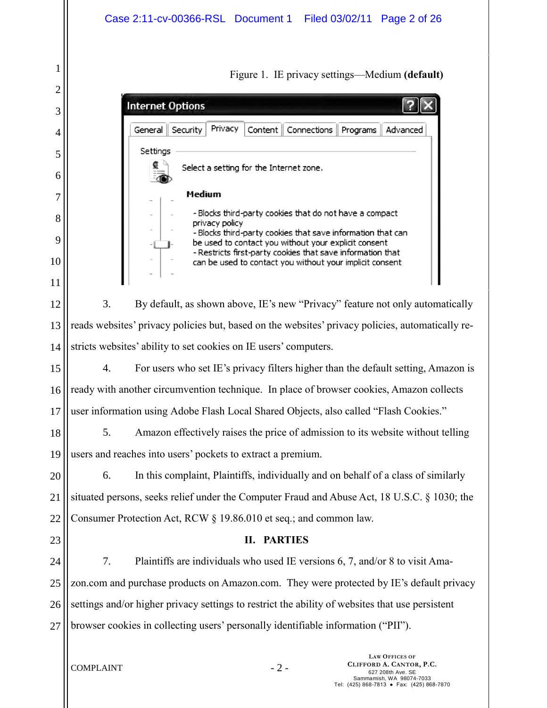<span id="page-1-0"></span>

|                  | Case 2:11-cv-00366-RSL Document 1 Filed 03/02/11 Page 2 of 26                                                                                                                                                                                                                                                              |  |  |
|------------------|----------------------------------------------------------------------------------------------------------------------------------------------------------------------------------------------------------------------------------------------------------------------------------------------------------------------------|--|--|
| 1<br>2<br>3<br>4 | Figure 1. IE privacy settings—Medium (default)<br><b>Internet Options</b><br>Privacy<br>Security<br>Content   Connections<br>General<br>Advanced<br>Programs                                                                                                                                                               |  |  |
| 5<br>6<br>7      | Settings<br>Select a setting for the Internet zone.<br>Medium                                                                                                                                                                                                                                                              |  |  |
| 8<br>9<br>10     | - Blocks third-party cookies that do not have a compact<br>privacy policy<br>- Blocks third-party cookies that save information that can<br>be used to contact you without your explicit consent<br>- Restricts first-party cookies that save information that<br>can be used to contact you without your implicit consent |  |  |
| 11<br>12         | 3.<br>By default, as shown above, IE's new "Privacy" feature not only automatically                                                                                                                                                                                                                                        |  |  |
| 13               | reads websites' privacy policies but, based on the websites' privacy policies, automatically re-                                                                                                                                                                                                                           |  |  |
| 14               | stricts websites' ability to set cookies on IE users' computers.                                                                                                                                                                                                                                                           |  |  |
| 15               | 4.<br>For users who set IE's privacy filters higher than the default setting, Amazon is                                                                                                                                                                                                                                    |  |  |
| 16               | ready with another circumvention technique. In place of browser cookies, Amazon collects                                                                                                                                                                                                                                   |  |  |
| 17               | user information using Adobe Flash Local Shared Objects, also called "Flash Cookies."                                                                                                                                                                                                                                      |  |  |
| 18               | Amazon effectively raises the price of admission to its website without telling<br>5.                                                                                                                                                                                                                                      |  |  |
| 19               | users and reaches into users' pockets to extract a premium.                                                                                                                                                                                                                                                                |  |  |
| 20<br>21         | In this complaint, Plaintiffs, individually and on behalf of a class of similarly<br>6.<br>situated persons, seeks relief under the Computer Fraud and Abuse Act, 18 U.S.C. § 1030; the                                                                                                                                    |  |  |
| 22               |                                                                                                                                                                                                                                                                                                                            |  |  |
| 23               | Consumer Protection Act, RCW § 19.86.010 et seq.; and common law.<br><b>II. PARTIES</b>                                                                                                                                                                                                                                    |  |  |
| 24               | Plaintiffs are individuals who used IE versions 6, 7, and/or 8 to visit Ama-<br>7.                                                                                                                                                                                                                                         |  |  |
| 25               | zon.com and purchase products on Amazon.com. They were protected by IE's default privacy                                                                                                                                                                                                                                   |  |  |
| 26               | settings and/or higher privacy settings to restrict the ability of websites that use persistent                                                                                                                                                                                                                            |  |  |
| 27               | browser cookies in collecting users' personally identifiable information ("PII").                                                                                                                                                                                                                                          |  |  |
|                  | <b>LAW OFFICES OF</b><br>CLIFFORD A. CANTOR, P.C.<br>$-2-$<br><b>COMPLAINT</b><br>627 208th Ave. SE<br>Sammamish, WA 98074-7033<br>Tel: (425) 868-7813 • Fax: (425) 868-7870                                                                                                                                               |  |  |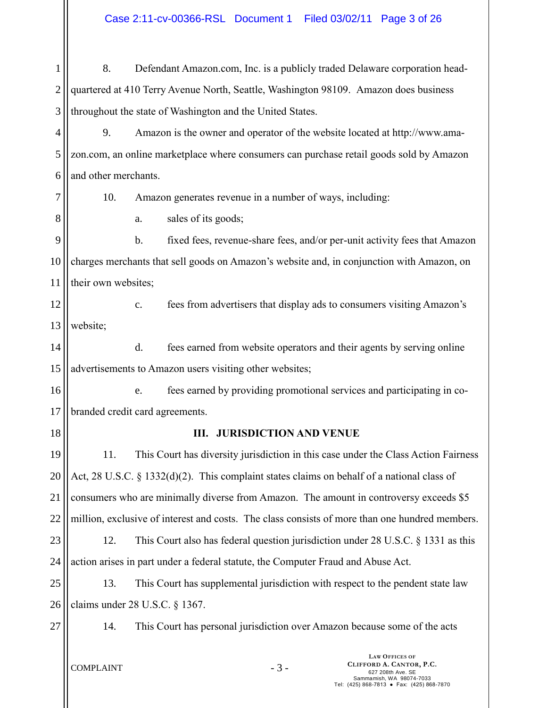1 2 3 8. Defendant Amazon.com, Inc. is a publicly traded Delaware corporation headquartered at 410 Terry Avenue North, Seattle, Washington 98109. Amazon does business throughout the state of Washington and the United States.

4 5 6 9. Amazon is the owner and operator of the website located at http://www.amazon.com, an online marketplace where consumers can purchase retail goods sold by Amazon and other merchants.

7

8

10. Amazon generates revenue in a number of ways, including:

a. sales of its goods;

9 10 11 b. fixed fees, revenue-share fees, and/or per-unit activity fees that Amazon charges merchants that sell goods on Amazon's website and, in conjunction with Amazon, on their own websites;

12 13 c. fees from advertisers that display ads to consumers visiting Amazon's website;

14 15 d. fees earned from website operators and their agents by serving online advertisements to Amazon users visiting other websites;

16 17 e. fees earned by providing promotional services and participating in cobranded credit card agreements.

18

# **III. JURISDICTION AND VENUE**

19 20 21 22 23 24 11. This Court has diversity jurisdiction in this case under the Class Action Fairness Act, 28 U.S.C. § 1332(d)(2). This complaint states claims on behalf of a national class of consumers who are minimally diverse from Amazon. The amount in controversy exceeds \$5 million, exclusive of interest and costs. The class consists of more than one hundred members. 12. This Court also has federal question jurisdiction under 28 U.S.C. § 1331 as this action arises in part under a federal statute, the Computer Fraud and Abuse Act.

25 26 13. This Court has supplemental jurisdiction with respect to the pendent state law claims under 28 U.S.C. § 1367.

27

14. This Court has personal jurisdiction over Amazon because some of the acts

 $COMPLAINT - 3 -$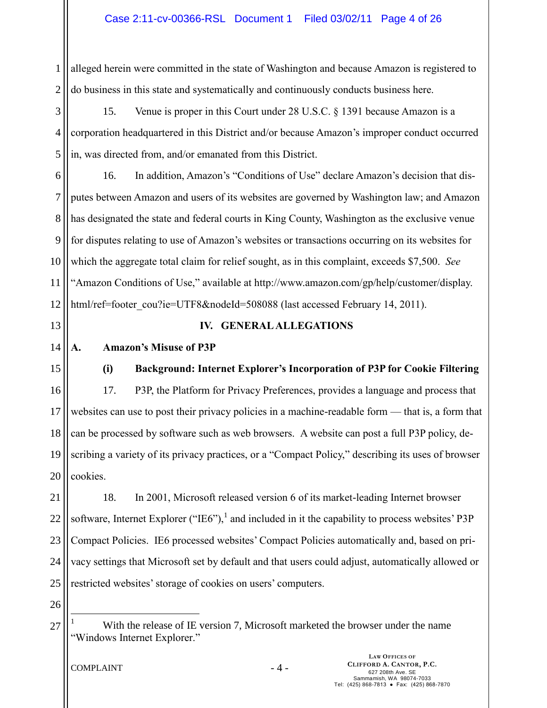1 2 alleged herein were committed in the state of Washington and because Amazon is registered to do business in this state and systematically and continuously conducts business here.

3 4 5 15. Venue is proper in this Court under 28 U.S.C. § 1391 because Amazon is a corporation headquartered in this District and/or because Amazon's improper conduct occurred in, was directed from, and/or emanated from this District.

6 7 8 9 10 11 12 16. In addition, Amazon's "Conditions of Use" declare Amazon's decision that disputes between Amazon and users of its websites are governed by Washington law; and Amazon has designated the state and federal courts in King County, Washington as the exclusive venue for disputes relating to use of Amazon's websites or transactions occurring on its websites for which the aggregate total claim for relief sought, as in this complaint, exceeds \$7,500. *See*  "Amazon Conditions of Use," available at http://www.amazon.com/gp/help/customer/display. html/ref=footer\_cou?ie=UTF8&nodeId=508088 (last accessed February 14, 2011).

13

## **IV. GENERALALLEGATIONS**

#### 14 **A. Amazon's Misuse of P3P**

15

16

17

18

19

**(i) Background: Internet Explorer's Incorporation of P3P for Cookie Filtering** 17. P3P, the Platform for Privacy Preferences, provides a language and process that websites can use to post their privacy policies in a machine-readable form — that is, a form that can be processed by software such as web browsers. A website can post a full P3P policy, describing a variety of its privacy practices, or a "Compact Policy," describing its uses of browser

20 cookies.

21 22 23 24 25 18. In 2001, Microsoft released version 6 of its market-leading Internet browser software, Internet Explorer ("IE6"), and included in it the capability to process websites' P3P Compact Policies. IE6 processed websites' Compact Policies automatically and, based on privacy settings that Microsoft set by default and that users could adjust, automatically allowed or restricted websites' storage of cookies on users' computers.

26

 $\overline{a}$ 

27

With the release of IE version 7, Microsoft marketed the browser under the name "Windows Internet Explorer."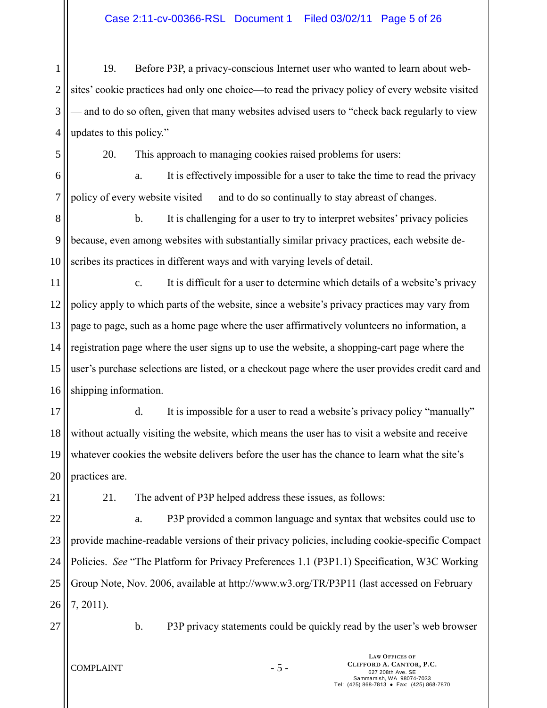1 2 3 4 19. Before P3P, a privacy-conscious Internet user who wanted to learn about websites' cookie practices had only one choice—to read the privacy policy of every website visited — and to do so often, given that many websites advised users to "check back regularly to view updates to this policy."

20. This approach to managing cookies raised problems for users:

6 7 a. It is effectively impossible for a user to take the time to read the privacy policy of every website visited — and to do so continually to stay abreast of changes.

8 9 10 b. It is challenging for a user to try to interpret websites' privacy policies because, even among websites with substantially similar privacy practices, each website describes its practices in different ways and with varying levels of detail.

11 12 13 14 15 16 c. It is difficult for a user to determine which details of a website's privacy policy apply to which parts of the website, since a website's privacy practices may vary from page to page, such as a home page where the user affirmatively volunteers no information, a registration page where the user signs up to use the website, a shopping-cart page where the user's purchase selections are listed, or a checkout page where the user provides credit card and shipping information.

17 18 19 20 d. It is impossible for a user to read a website's privacy policy "manually" without actually visiting the website, which means the user has to visit a website and receive whatever cookies the website delivers before the user has the chance to learn what the site's practices are.

21

5

21. The advent of P3P helped address these issues, as follows:

22 23 24 25 26 a. P3P provided a common language and syntax that websites could use to provide machine-readable versions of their privacy policies, including cookie-specific Compact Policies. *See* "The Platform for Privacy Preferences 1.1 (P3P1.1) Specification, W3C Working Group Note, Nov. 2006, available at http://www.w3.org/TR/P3P11 (last accessed on February 7, 2011).

27

b. P3P privacy statements could be quickly read by the user's web browser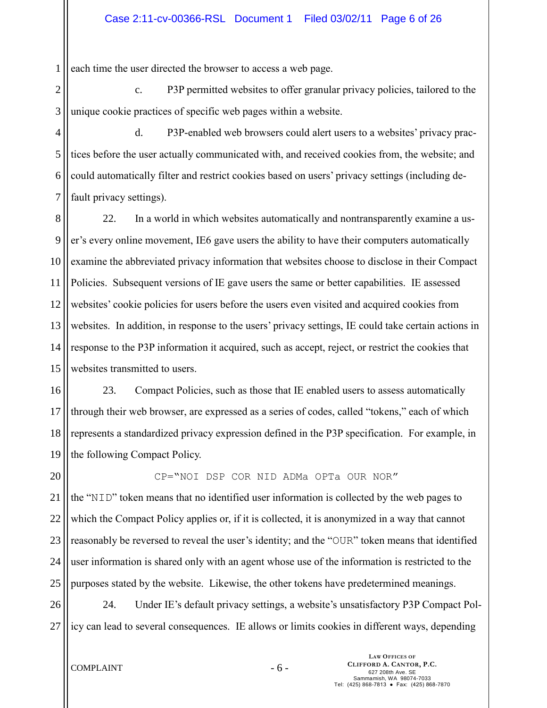1 each time the user directed the browser to access a web page.

2 3 c. P3P permitted websites to offer granular privacy policies, tailored to the unique cookie practices of specific web pages within a website.

4 5 6 7 d. P3P-enabled web browsers could alert users to a websites' privacy practices before the user actually communicated with, and received cookies from, the website; and could automatically filter and restrict cookies based on users' privacy settings (including default privacy settings).

8 9 10 11 12 13 14 15 22. In a world in which websites automatically and nontransparently examine a user's every online movement, IE6 gave users the ability to have their computers automatically examine the abbreviated privacy information that websites choose to disclose in their Compact Policies. Subsequent versions of IE gave users the same or better capabilities. IE assessed websites' cookie policies for users before the users even visited and acquired cookies from websites. In addition, in response to the users' privacy settings, IE could take certain actions in response to the P3P information it acquired, such as accept, reject, or restrict the cookies that websites transmitted to users.

16 17 18 19 23. Compact Policies, such as those that IE enabled users to assess automatically through their web browser, are expressed as a series of codes, called "tokens," each of which represents a standardized privacy expression defined in the P3P specification. For example, in the following Compact Policy.

20

CP="NOI DSP COR NID ADMa OPTa OUR NOR"

21 22 23 24 25 the "NID" token means that no identified user information is collected by the web pages to which the Compact Policy applies or, if it is collected, it is anonymized in a way that cannot reasonably be reversed to reveal the user's identity; and the "OUR" token means that identified user information is shared only with an agent whose use of the information is restricted to the purposes stated by the website. Likewise, the other tokens have predetermined meanings.

26 27 24. Under IE's default privacy settings, a website's unsatisfactory P3P Compact Policy can lead to several consequences. IE allows or limits cookies in different ways, depending

 $COMPLAINT - 6 -$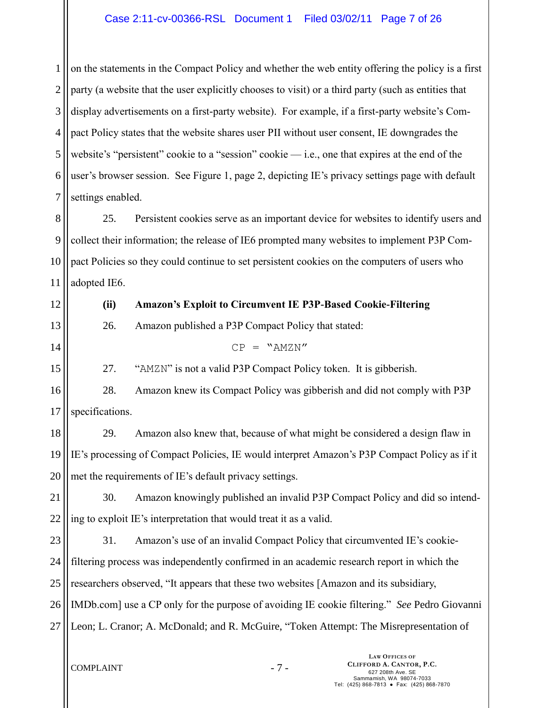## Case 2:11-cv-00366-RSL Document 1 Filed 03/02/11 Page 7 of 26

1 2 3 4 5 6 7 on the statements in the Compact Policy and whether the web entity offering the policy is a first party (a website that the user explicitly chooses to visit) or a third party (such as entities that display advertisements on a first-party website). For example, if a first-party website's Compact Policy states that the website shares user PII without user consent, IE downgrades the website's "persistent" cookie to a "session" cookie — i.e., one that expires at the end of the user's browser session. See [Figure 1,](#page-1-0) page [2,](#page-1-0) depicting IE's privacy settings page with default settings enabled.

8 9 10 11 25. Persistent cookies serve as an important device for websites to identify users and collect their information; the release of IE6 prompted many websites to implement P3P Compact Policies so they could continue to set persistent cookies on the computers of users who adopted IE6.

**LAW OFFICES OF** 12 13 14 15 16 17 18 19 20 21 22 23 24 25 26 27 **(ii) Amazon's Exploit to Circumvent IE P3P-Based Cookie-Filtering** 26. Amazon published a P3P Compact Policy that stated:  $CP = "AMZN"$ 27. "AMZN" is not a valid P3P Compact Policy token. It is gibberish. 28. Amazon knew its Compact Policy was gibberish and did not comply with P3P specifications. 29. Amazon also knew that, because of what might be considered a design flaw in IE's processing of Compact Policies, IE would interpret Amazon's P3P Compact Policy as if it met the requirements of IE's default privacy settings. 30. Amazon knowingly published an invalid P3P Compact Policy and did so intending to exploit IE's interpretation that would treat it as a valid. 31. Amazon's use of an invalid Compact Policy that circumvented IE's cookiefiltering process was independently confirmed in an academic research report in which the researchers observed, "It appears that these two websites [Amazon and its subsidiary, IMDb.com] use a CP only for the purpose of avoiding IE cookie filtering." *See* Pedro Giovanni Leon; L. Cranor; A. McDonald; and R. McGuire, "Token Attempt: The Misrepresentation of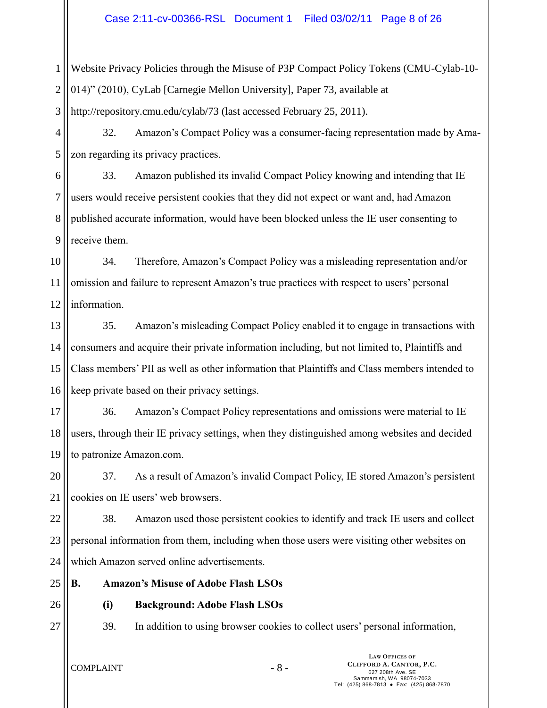1 2 Website Privacy Policies through the Misuse of P3P Compact Policy Tokens (CMU-Cylab-10- 014)" (2010), CyLab [Carnegie Mellon University], Paper 73, available at

3 http://repository.cmu.edu/cylab/73 (last accessed February 25, 2011).

4 5 32. Amazon's Compact Policy was a consumer-facing representation made by Amazon regarding its privacy practices.

6 7 8 9 33. Amazon published its invalid Compact Policy knowing and intending that IE users would receive persistent cookies that they did not expect or want and, had Amazon published accurate information, would have been blocked unless the IE user consenting to receive them.

10 11 12 34. Therefore, Amazon's Compact Policy was a misleading representation and/or omission and failure to represent Amazon's true practices with respect to users' personal information.

13 14 15 16 35. Amazon's misleading Compact Policy enabled it to engage in transactions with consumers and acquire their private information including, but not limited to, Plaintiffs and Class members' PII as well as other information that Plaintiffs and Class members intended to keep private based on their privacy settings.

17 18 19 36. Amazon's Compact Policy representations and omissions were material to IE users, through their IE privacy settings, when they distinguished among websites and decided to patronize Amazon.com.

20 21 37. As a result of Amazon's invalid Compact Policy, IE stored Amazon's persistent cookies on IE users' web browsers.

22 23 24 38. Amazon used those persistent cookies to identify and track IE users and collect personal information from them, including when those users were visiting other websites on which Amazon served online advertisements.

- 25 **B. Amazon's Misuse of Adobe Flash LSOs**
- 26

27

**(i) Background: Adobe Flash LSOs**

39. In addition to using browser cookies to collect users' personal information,

 $COMPLAINT - 8 -$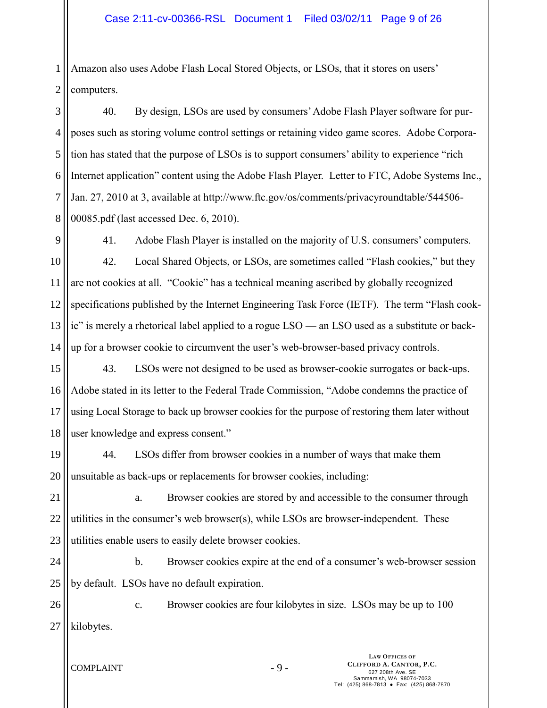1 2 Amazon also uses Adobe Flash Local Stored Objects, or LSOs, that it stores on users' computers.

3 4 5 6 7 8 40. By design, LSOs are used by consumers' Adobe Flash Player software for purposes such as storing volume control settings or retaining video game scores. Adobe Corporation has stated that the purpose of LSOs is to support consumers' ability to experience "rich Internet application" content using the Adobe Flash Player. Letter to FTC, Adobe Systems Inc., Jan. 27, 2010 at 3, available at http://www.ftc.gov/os/comments/privacyroundtable/544506- 00085.pdf (last accessed Dec. 6, 2010).

9

41. Adobe Flash Player is installed on the majority of U.S. consumers' computers.

10 11 12 13 14 42. Local Shared Objects, or LSOs, are sometimes called "Flash cookies," but they are not cookies at all. "Cookie" has a technical meaning ascribed by globally recognized specifications published by the Internet Engineering Task Force (IETF). The term "Flash cookie" is merely a rhetorical label applied to a rogue LSO — an LSO used as a substitute or backup for a browser cookie to circumvent the user's web-browser-based privacy controls.

15 16 17 18 43. LSOs were not designed to be used as browser-cookie surrogates or back-ups. Adobe stated in its letter to the Federal Trade Commission, "Adobe condemns the practice of using Local Storage to back up browser cookies for the purpose of restoring them later without user knowledge and express consent."

19 20 44. LSOs differ from browser cookies in a number of ways that make them unsuitable as back-ups or replacements for browser cookies, including:

21 22 23 a. Browser cookies are stored by and accessible to the consumer through utilities in the consumer's web browser(s), while LSOs are browser-independent. These utilities enable users to easily delete browser cookies.

24 25 b. Browser cookies expire at the end of a consumer's web-browser session by default. LSOs have no default expiration.

26 27 c. Browser cookies are four kilobytes in size. LSOs may be up to 100 kilobytes.

 $COMPLAINT$   $-9$   $-$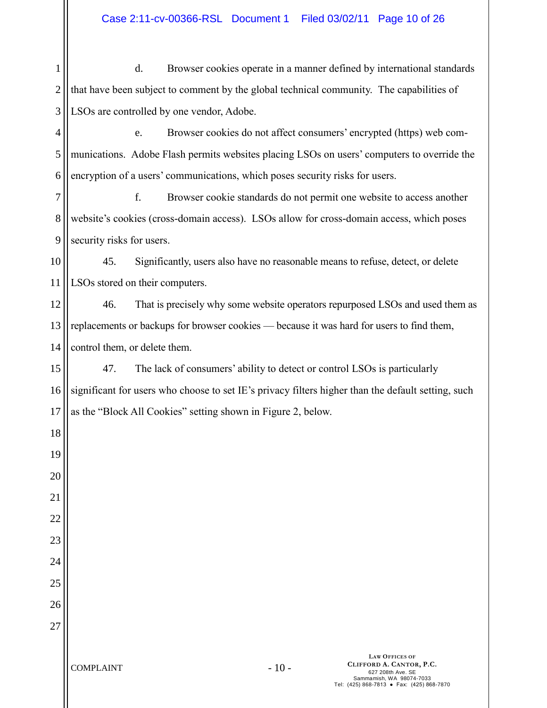1 2 3 d. Browser cookies operate in a manner defined by international standards that have been subject to comment by the global technical community. The capabilities of LSOs are controlled by one vendor, Adobe.

4 5 6 e. Browser cookies do not affect consumers' encrypted (https) web communications. Adobe Flash permits websites placing LSOs on users' computers to override the encryption of a users' communications, which poses security risks for users.

7 8 9 f. Browser cookie standards do not permit one website to access another website's cookies (cross-domain access). LSOs allow for cross-domain access, which poses security risks for users.

10 11 45. Significantly, users also have no reasonable means to refuse, detect, or delete LSOs stored on their computers.

12 13 14 46. That is precisely why some website operators repurposed LSOs and used them as replacements or backups for browser cookies — because it was hard for users to find them, control them, or delete them.

15 16 17 47. The lack of consumers' ability to detect or control LSOs is particularly significant for users who choose to set IE's privacy filters higher than the default setting, such as the "Block All Cookies" setting shown in [Figure 2,](#page-10-0) below.

18

19

20

21

22

23

24

25

26

27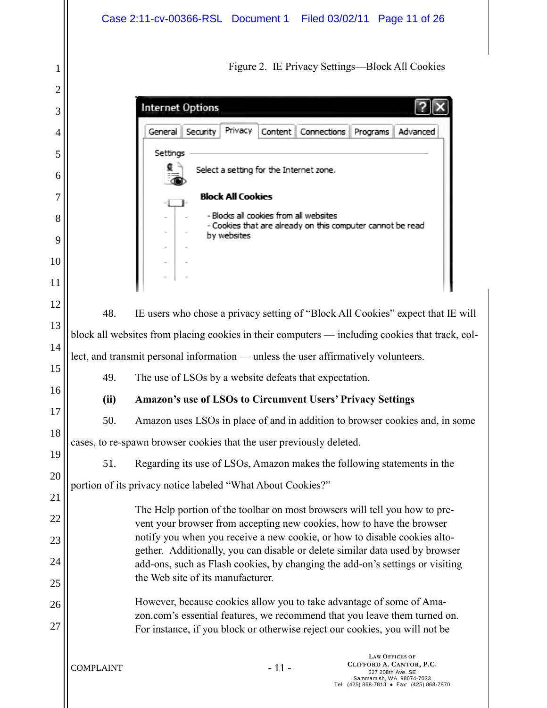<span id="page-10-0"></span>

|        | Case 2:11-cv-00366-RSL Document 1 Filed 03/02/11 Page 11 of 26                                                                                                                |  |  |  |  |  |
|--------|-------------------------------------------------------------------------------------------------------------------------------------------------------------------------------|--|--|--|--|--|
| 1<br>2 | Figure 2. IE Privacy Settings—Block All Cookies                                                                                                                               |  |  |  |  |  |
| 3      | <b>Internet Options</b>                                                                                                                                                       |  |  |  |  |  |
| 4      | Privacy<br>Security<br>General   <br>Content Connections Programs<br>Advanced                                                                                                 |  |  |  |  |  |
| 5      | Settings                                                                                                                                                                      |  |  |  |  |  |
| 6      | Select a setting for the Internet zone.                                                                                                                                       |  |  |  |  |  |
| 7      | <b>Block All Cookies</b>                                                                                                                                                      |  |  |  |  |  |
| 8      | - Blocks all cookies from all websites                                                                                                                                        |  |  |  |  |  |
| 9      | - Cookies that are already on this computer cannot be read<br>by websites                                                                                                     |  |  |  |  |  |
| 10     |                                                                                                                                                                               |  |  |  |  |  |
| 11     |                                                                                                                                                                               |  |  |  |  |  |
| 12     |                                                                                                                                                                               |  |  |  |  |  |
| 13     | 48.<br>IE users who chose a privacy setting of "Block All Cookies" expect that IE will                                                                                        |  |  |  |  |  |
| 14     | block all websites from placing cookies in their computers — including cookies that track, col-                                                                               |  |  |  |  |  |
| 15     | lect, and transmit personal information — unless the user affirmatively volunteers.                                                                                           |  |  |  |  |  |
| 16     | 49.<br>The use of LSOs by a website defeats that expectation.                                                                                                                 |  |  |  |  |  |
| 17     | <b>Amazon's use of LSOs to Circumvent Users' Privacy Settings</b><br>(ii)                                                                                                     |  |  |  |  |  |
| 18     | 50.<br>Amazon uses LSOs in place of and in addition to browser cookies and, in some                                                                                           |  |  |  |  |  |
| 19     | cases, to re-spawn browser cookies that the user previously deleted.                                                                                                          |  |  |  |  |  |
| 20     | 51.<br>Regarding its use of LSOs, Amazon makes the following statements in the                                                                                                |  |  |  |  |  |
| 21     | portion of its privacy notice labeled "What About Cookies?"                                                                                                                   |  |  |  |  |  |
| 22     | The Help portion of the toolbar on most browsers will tell you how to pre-<br>vent your browser from accepting new cookies, how to have the browser                           |  |  |  |  |  |
| 23     | notify you when you receive a new cookie, or how to disable cookies alto-                                                                                                     |  |  |  |  |  |
| 24     | gether. Additionally, you can disable or delete similar data used by browser<br>add-ons, such as Flash cookies, by changing the add-on's settings or visiting                 |  |  |  |  |  |
| 25     | the Web site of its manufacturer.                                                                                                                                             |  |  |  |  |  |
| 26     | However, because cookies allow you to take advantage of some of Ama-                                                                                                          |  |  |  |  |  |
| 27     | zon.com's essential features, we recommend that you leave them turned on.<br>For instance, if you block or otherwise reject our cookies, you will not be                      |  |  |  |  |  |
|        | <b>LAW OFFICES OF</b><br>CLIFFORD A. CANTOR, P.C.<br>$-11-$<br><b>COMPLAINT</b><br>627 208th Ave. SE<br>Sammamish, WA 98074-7033<br>Tel: (425) 868-7813 · Fax: (425) 868-7870 |  |  |  |  |  |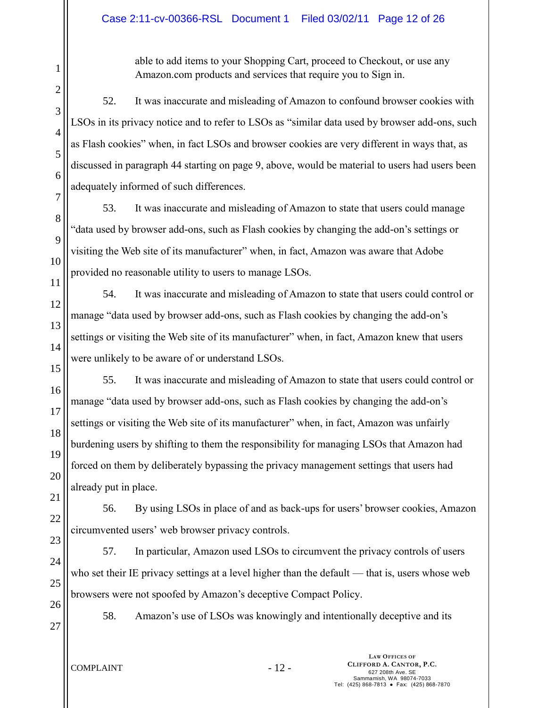able to add items to your Shopping Cart, proceed to Checkout, or use any Amazon.com products and services that require you to Sign in.

52. It was inaccurate and misleading of Amazon to confound browser cookies with LSOs in its privacy notice and to refer to LSOs as "similar data used by browser add-ons, such as Flash cookies" when, in fact LSOs and browser cookies are very different in ways that, as discussed in paragraph 44 starting on page 9, above, would be material to users had users been adequately informed of such differences.

53. It was inaccurate and misleading of Amazon to state that users could manage "data used by browser add-ons, such as Flash cookies by changing the add-on's settings or visiting the Web site of its manufacturer" when, in fact, Amazon was aware that Adobe provided no reasonable utility to users to manage LSOs.

54. It was inaccurate and misleading of Amazon to state that users could control or manage "data used by browser add-ons, such as Flash cookies by changing the add-on's settings or visiting the Web site of its manufacturer" when, in fact, Amazon knew that users were unlikely to be aware of or understand LSOs.

16 17 18 19 20 21 55. It was inaccurate and misleading of Amazon to state that users could control or manage "data used by browser add-ons, such as Flash cookies by changing the add-on's settings or visiting the Web site of its manufacturer" when, in fact, Amazon was unfairly burdening users by shifting to them the responsibility for managing LSOs that Amazon had forced on them by deliberately bypassing the privacy management settings that users had already put in place.

22 23 56. By using LSOs in place of and as back-ups for users' browser cookies, Amazon circumvented users' web browser privacy controls.

57. In particular, Amazon used LSOs to circumvent the privacy controls of users who set their IE privacy settings at a level higher than the default — that is, users whose web browsers were not spoofed by Amazon's deceptive Compact Policy.

26 27

24

25

1

2

3

4

5

6

7

8

9

10

11

12

13

14

15

58. Amazon's use of LSOs was knowingly and intentionally deceptive and its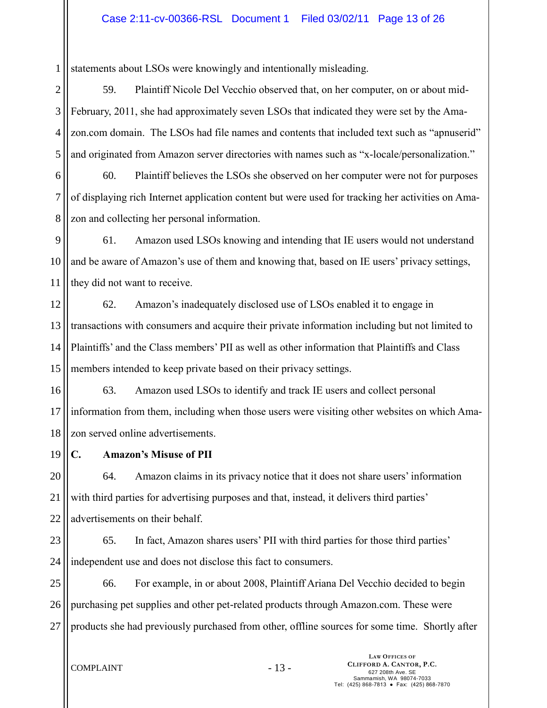1 statements about LSOs were knowingly and intentionally misleading.

2 3 4 5 59. Plaintiff Nicole Del Vecchio observed that, on her computer, on or about mid-February, 2011, she had approximately seven LSOs that indicated they were set by the Amazon.com domain. The LSOs had file names and contents that included text such as "apnuserid" and originated from Amazon server directories with names such as "x-locale/personalization."

6 7 8 60. Plaintiff believes the LSOs she observed on her computer were not for purposes of displaying rich Internet application content but were used for tracking her activities on Amazon and collecting her personal information.

9 10 11 61. Amazon used LSOs knowing and intending that IE users would not understand and be aware of Amazon's use of them and knowing that, based on IE users' privacy settings, they did not want to receive.

12 13 14 15 62. Amazon's inadequately disclosed use of LSOs enabled it to engage in transactions with consumers and acquire their private information including but not limited to Plaintiffs' and the Class members' PII as well as other information that Plaintiffs and Class members intended to keep private based on their privacy settings.

16 17 18 63. Amazon used LSOs to identify and track IE users and collect personal information from them, including when those users were visiting other websites on which Amazon served online advertisements.

19

**C. Amazon's Misuse of PII**

20 21 22 64. Amazon claims in its privacy notice that it does not share users' information with third parties for advertising purposes and that, instead, it delivers third parties' advertisements on their behalf.

23

24

65. In fact, Amazon shares users' PII with third parties for those third parties' independent use and does not disclose this fact to consumers.

25 26 27 66. For example, in or about 2008, Plaintiff Ariana Del Vecchio decided to begin purchasing pet supplies and other pet-related products through Amazon.com. These were products she had previously purchased from other, offline sources for some time. Shortly after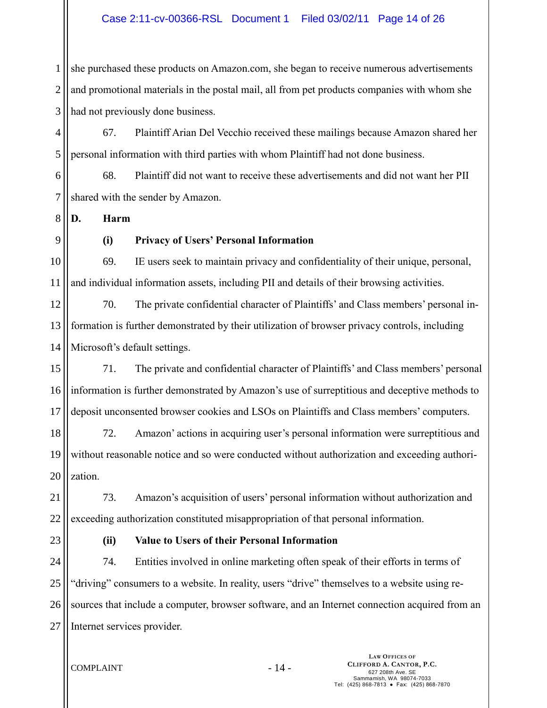1 2 3 she purchased these products on Amazon.com, she began to receive numerous advertisements and promotional materials in the postal mail, all from pet products companies with whom she had not previously done business.

4 5 67. Plaintiff Arian Del Vecchio received these mailings because Amazon shared her personal information with third parties with whom Plaintiff had not done business.

6 7 68. Plaintiff did not want to receive these advertisements and did not want her PII shared with the sender by Amazon.

8 **D. Harm**

9

## **(i) Privacy of Users' Personal Information**

10 11 69. IE users seek to maintain privacy and confidentiality of their unique, personal, and individual information assets, including PII and details of their browsing activities.

12 13 14 70. The private confidential character of Plaintiffs' and Class members' personal information is further demonstrated by their utilization of browser privacy controls, including Microsoft's default settings.

15 16 17 71. The private and confidential character of Plaintiffs' and Class members' personal information is further demonstrated by Amazon's use of surreptitious and deceptive methods to deposit unconsented browser cookies and LSOs on Plaintiffs and Class members' computers.

18 19 20 72. Amazon' actions in acquiring user's personal information were surreptitious and without reasonable notice and so were conducted without authorization and exceeding authorization.

21 22 73. Amazon's acquisition of users' personal information without authorization and exceeding authorization constituted misappropriation of that personal information.

23

## **(ii) Value to Users of their Personal Information**

24 25 26 27 74. Entities involved in online marketing often speak of their efforts in terms of "driving" consumers to a website. In reality, users "drive" themselves to a website using resources that include a computer, browser software, and an Internet connection acquired from an Internet services provider.

COMPLAINT - 14 -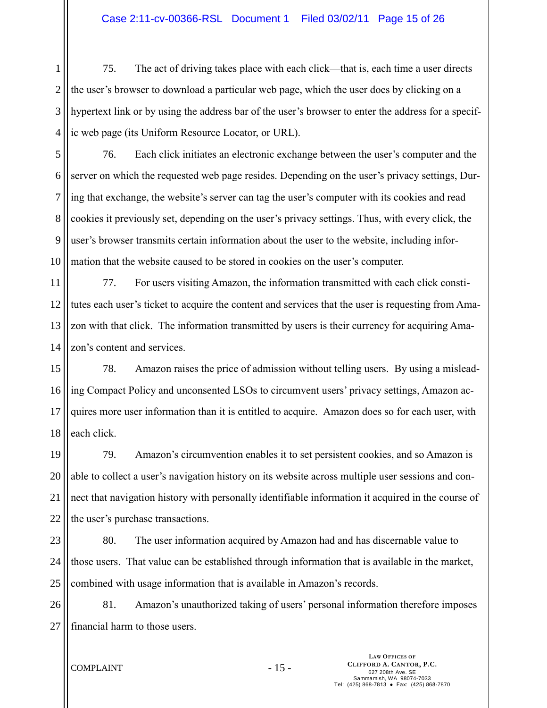1 2 3 4 75. The act of driving takes place with each click—that is, each time a user directs the user's browser to download a particular web page, which the user does by clicking on a hypertext link or by using the address bar of the user's browser to enter the address for a specific web page (its Uniform Resource Locator, or URL).

5 6 7 8 9 10 76. Each click initiates an electronic exchange between the user's computer and the server on which the requested web page resides. Depending on the user's privacy settings, During that exchange, the website's server can tag the user's computer with its cookies and read cookies it previously set, depending on the user's privacy settings. Thus, with every click, the user's browser transmits certain information about the user to the website, including information that the website caused to be stored in cookies on the user's computer.

11 12 13 14 77. For users visiting Amazon, the information transmitted with each click constitutes each user's ticket to acquire the content and services that the user is requesting from Amazon with that click. The information transmitted by users is their currency for acquiring Amazon's content and services.

15 16 17 18 78. Amazon raises the price of admission without telling users. By using a misleading Compact Policy and unconsented LSOs to circumvent users' privacy settings, Amazon acquires more user information than it is entitled to acquire. Amazon does so for each user, with each click.

19 20 21 22 79. Amazon's circumvention enables it to set persistent cookies, and so Amazon is able to collect a user's navigation history on its website across multiple user sessions and connect that navigation history with personally identifiable information it acquired in the course of the user's purchase transactions.

23 24 25 80. The user information acquired by Amazon had and has discernable value to those users. That value can be established through information that is available in the market, combined with usage information that is available in Amazon's records.

26 27 81. Amazon's unauthorized taking of users' personal information therefore imposes financial harm to those users.

 $COMPLAINT - 15 -$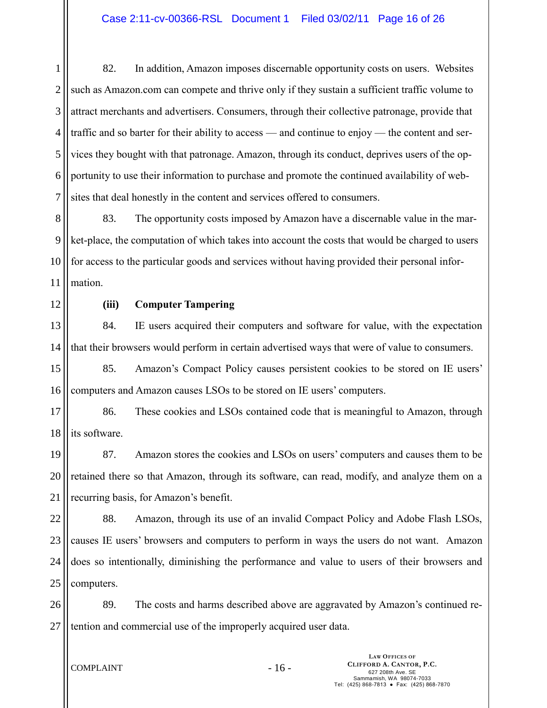1 2 3 4 5 6 7 82. In addition, Amazon imposes discernable opportunity costs on users. Websites such as Amazon.com can compete and thrive only if they sustain a sufficient traffic volume to attract merchants and advertisers. Consumers, through their collective patronage, provide that traffic and so barter for their ability to access — and continue to enjoy — the content and services they bought with that patronage. Amazon, through its conduct, deprives users of the opportunity to use their information to purchase and promote the continued availability of websites that deal honestly in the content and services offered to consumers.

8 9 10 11 83. The opportunity costs imposed by Amazon have a discernable value in the market-place, the computation of which takes into account the costs that would be charged to users for access to the particular goods and services without having provided their personal information.

12

## **(iii) Computer Tampering**

13 14 84. IE users acquired their computers and software for value, with the expectation that their browsers would perform in certain advertised ways that were of value to consumers.

15 16 85. Amazon's Compact Policy causes persistent cookies to be stored on IE users' computers and Amazon causes LSOs to be stored on IE users' computers.

17 18 86. These cookies and LSOs contained code that is meaningful to Amazon, through its software.

19 20 21 87. Amazon stores the cookies and LSOs on users' computers and causes them to be retained there so that Amazon, through its software, can read, modify, and analyze them on a recurring basis, for Amazon's benefit.

22 23 24 25 88. Amazon, through its use of an invalid Compact Policy and Adobe Flash LSOs, causes IE users' browsers and computers to perform in ways the users do not want. Amazon does so intentionally, diminishing the performance and value to users of their browsers and computers.

26 27 89. The costs and harms described above are aggravated by Amazon's continued retention and commercial use of the improperly acquired user data.

 $COMPLAINT$  - 16 -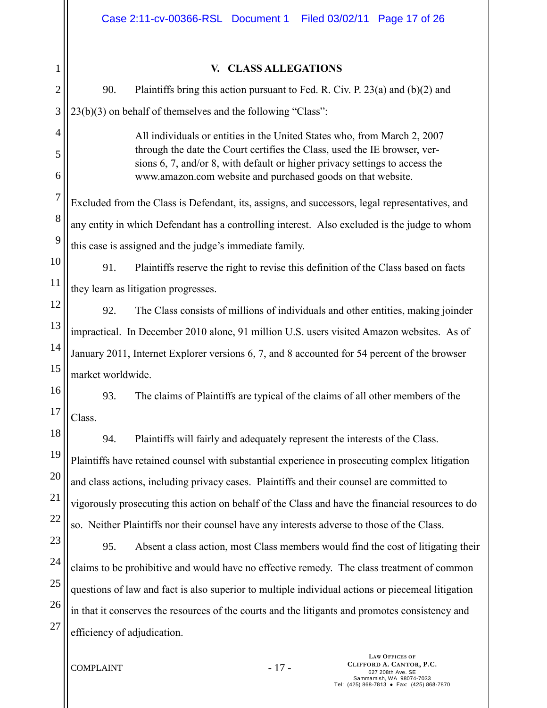|                | Case 2:11-cv-00366-RSL Document 1 Filed 03/02/11 Page 17 of 26                                                                                           |  |  |  |  |  |
|----------------|----------------------------------------------------------------------------------------------------------------------------------------------------------|--|--|--|--|--|
| $\mathbf{1}$   | V. CLASS ALLEGATIONS                                                                                                                                     |  |  |  |  |  |
| $\overline{c}$ | 90.<br>Plaintiffs bring this action pursuant to Fed. R. Civ. P. $23(a)$ and $(b)(2)$ and                                                                 |  |  |  |  |  |
| 3              | 23(b)(3) on behalf of themselves and the following "Class":                                                                                              |  |  |  |  |  |
| 4              | All individuals or entities in the United States who, from March 2, 2007                                                                                 |  |  |  |  |  |
| 5              | through the date the Court certifies the Class, used the IE browser, ver-<br>sions 6, 7, and/or 8, with default or higher privacy settings to access the |  |  |  |  |  |
| 6              | www.amazon.com website and purchased goods on that website.                                                                                              |  |  |  |  |  |
| $\overline{7}$ | Excluded from the Class is Defendant, its, assigns, and successors, legal representatives, and                                                           |  |  |  |  |  |
| 8              | any entity in which Defendant has a controlling interest. Also excluded is the judge to whom                                                             |  |  |  |  |  |
| 9              | this case is assigned and the judge's immediate family.                                                                                                  |  |  |  |  |  |
| 10             | 91.<br>Plaintiffs reserve the right to revise this definition of the Class based on facts                                                                |  |  |  |  |  |
| 11             | they learn as litigation progresses.                                                                                                                     |  |  |  |  |  |
| 12             | 92.<br>The Class consists of millions of individuals and other entities, making joinder                                                                  |  |  |  |  |  |
| 13             | impractical. In December 2010 alone, 91 million U.S. users visited Amazon websites. As of                                                                |  |  |  |  |  |
| 14             | January 2011, Internet Explorer versions 6, 7, and 8 accounted for 54 percent of the browser                                                             |  |  |  |  |  |
| 15             | market worldwide.                                                                                                                                        |  |  |  |  |  |
| 16             | 93.<br>The claims of Plaintiffs are typical of the claims of all other members of the                                                                    |  |  |  |  |  |
| 17             | Class.                                                                                                                                                   |  |  |  |  |  |
| 18             | 94.<br>Plaintiffs will fairly and adequately represent the interests of the Class.                                                                       |  |  |  |  |  |
| 19             | Plaintiffs have retained counsel with substantial experience in prosecuting complex litigation                                                           |  |  |  |  |  |
| 20             | and class actions, including privacy cases. Plaintiffs and their counsel are committed to                                                                |  |  |  |  |  |
| 21             | vigorously prosecuting this action on behalf of the Class and have the financial resources to do                                                         |  |  |  |  |  |
| 22             | so. Neither Plaintiffs nor their counsel have any interests adverse to those of the Class.                                                               |  |  |  |  |  |
| 23             | Absent a class action, most Class members would find the cost of litigating their<br>95.                                                                 |  |  |  |  |  |
| 24             | claims to be prohibitive and would have no effective remedy. The class treatment of common                                                               |  |  |  |  |  |
| 25             | questions of law and fact is also superior to multiple individual actions or piecemeal litigation                                                        |  |  |  |  |  |
| 26             | in that it conserves the resources of the courts and the litigants and promotes consistency and                                                          |  |  |  |  |  |
| 27             | efficiency of adjudication.                                                                                                                              |  |  |  |  |  |
|                |                                                                                                                                                          |  |  |  |  |  |

COMPLAINT - 17 -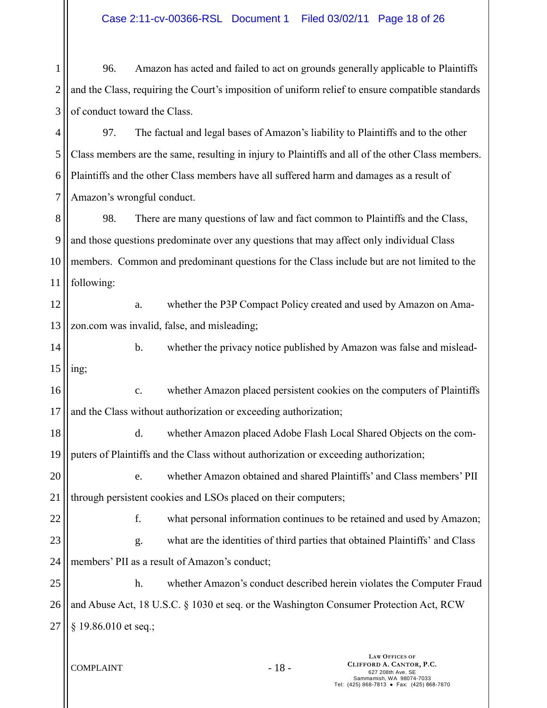1 2 3 96. Amazon has acted and failed to act on grounds generally applicable to Plaintiffs and the Class, requiring the Court's imposition of uniform relief to ensure compatible standards of conduct toward the Class.

4 5 6 7 97. The factual and legal bases of Amazon's liability to Plaintiffs and to the other Class members are the same, resulting in injury to Plaintiffs and all of the other Class members. Plaintiffs and the other Class members have all suffered harm and damages as a result of Amazon's wrongful conduct.

8 9 10 11 98. There are many questions of law and fact common to Plaintiffs and the Class, and those questions predominate over any questions that may affect only individual Class members. Common and predominant questions for the Class include but are not limited to the following:

12 13 a. whether the P3P Compact Policy created and used by Amazon on Amazon.com was invalid, false, and misleading;

14 15 b. whether the privacy notice published by Amazon was false and misleading;

16 17 c. whether Amazon placed persistent cookies on the computers of Plaintiffs and the Class without authorization or exceeding authorization;

18 19 d. whether Amazon placed Adobe Flash Local Shared Objects on the computers of Plaintiffs and the Class without authorization or exceeding authorization;

20 21 e. whether Amazon obtained and shared Plaintiffs' and Class members' PII through persistent cookies and LSOs placed on their computers;

22 23 f. what personal information continues to be retained and used by Amazon; g. what are the identities of third parties that obtained Plaintiffs' and Class

24 members' PII as a result of Amazon's conduct;

25 26 27 h. whether Amazon's conduct described herein violates the Computer Fraud and Abuse Act, 18 U.S.C. § 1030 et seq. or the Washington Consumer Protection Act, RCW § 19.86.010 et seq.;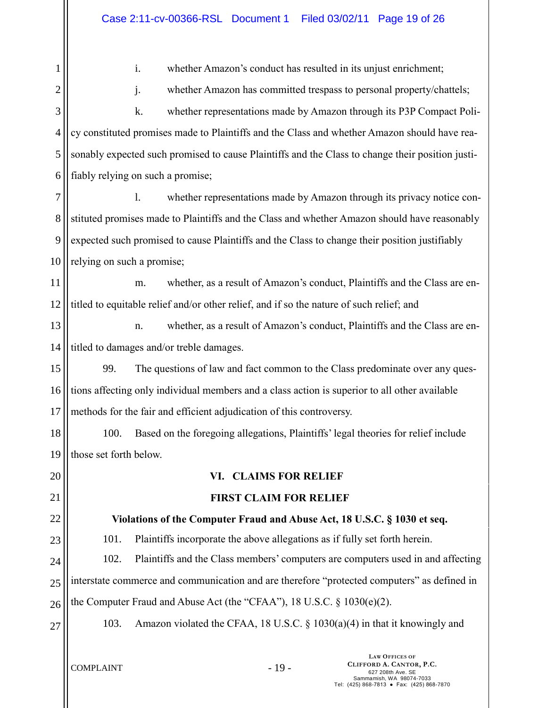1 2 3 4 5 6 7 8 9 10 11 12 13 14 15 16 17 18 19 20 21 22 23 24 25 26 27 i. whether Amazon's conduct has resulted in its unjust enrichment; j. whether Amazon has committed trespass to personal property/chattels; k. whether representations made by Amazon through its P3P Compact Policy constituted promises made to Plaintiffs and the Class and whether Amazon should have reasonably expected such promised to cause Plaintiffs and the Class to change their position justifiably relying on such a promise; l. whether representations made by Amazon through its privacy notice constituted promises made to Plaintiffs and the Class and whether Amazon should have reasonably expected such promised to cause Plaintiffs and the Class to change their position justifiably relying on such a promise; m. whether, as a result of Amazon's conduct, Plaintiffs and the Class are entitled to equitable relief and/or other relief, and if so the nature of such relief; and n. whether, as a result of Amazon's conduct, Plaintiffs and the Class are entitled to damages and/or treble damages. 99. The questions of law and fact common to the Class predominate over any questions affecting only individual members and a class action is superior to all other available methods for the fair and efficient adjudication of this controversy. 100. Based on the foregoing allegations, Plaintiffs' legal theories for relief include those set forth below. **VI. CLAIMS FOR RELIEF FIRST CLAIM FOR RELIEF Violations of the Computer Fraud and Abuse Act, 18 U.S.C. § 1030 et seq.** 101. Plaintiffs incorporate the above allegations as if fully set forth herein. 102. Plaintiffs and the Class members' computers are computers used in and affecting interstate commerce and communication and are therefore "protected computers" as defined in the Computer Fraud and Abuse Act (the "CFAA"), 18 U.S.C. § 1030(e)(2). 103. Amazon violated the CFAA, 18 U.S.C. § 1030(a)(4) in that it knowingly and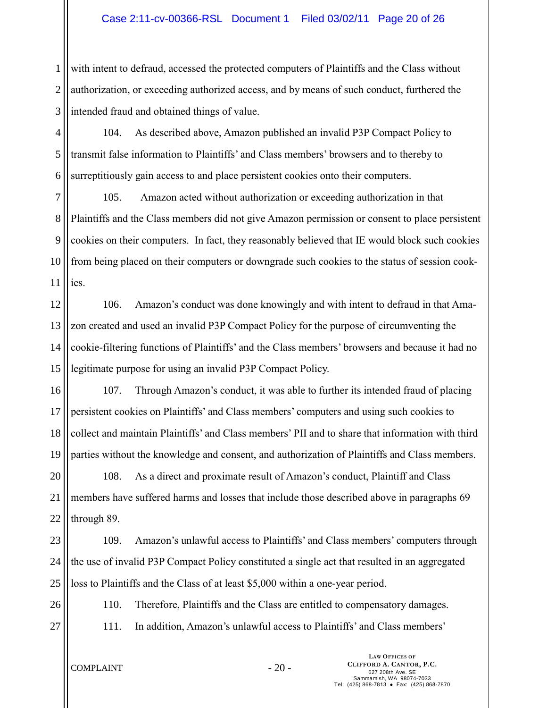1 2 3 with intent to defraud, accessed the protected computers of Plaintiffs and the Class without authorization, or exceeding authorized access, and by means of such conduct, furthered the intended fraud and obtained things of value.

4 5 6 104. As described above, Amazon published an invalid P3P Compact Policy to transmit false information to Plaintiffs' and Class members' browsers and to thereby to surreptitiously gain access to and place persistent cookies onto their computers.

7 8 9 10 11 105. Amazon acted without authorization or exceeding authorization in that Plaintiffs and the Class members did not give Amazon permission or consent to place persistent cookies on their computers. In fact, they reasonably believed that IE would block such cookies from being placed on their computers or downgrade such cookies to the status of session cookies.

12 13 14 15 106. Amazon's conduct was done knowingly and with intent to defraud in that Amazon created and used an invalid P3P Compact Policy for the purpose of circumventing the cookie-filtering functions of Plaintiffs' and the Class members' browsers and because it had no legitimate purpose for using an invalid P3P Compact Policy.

16 17 18 19 107. Through Amazon's conduct, it was able to further its intended fraud of placing persistent cookies on Plaintiffs' and Class members' computers and using such cookies to collect and maintain Plaintiffs' and Class members' PII and to share that information with third parties without the knowledge and consent, and authorization of Plaintiffs and Class members.

20 21 22 108. As a direct and proximate result of Amazon's conduct, Plaintiff and Class members have suffered harms and losses that include those described above in paragraphs 69 through 89.

23 24 25 109. Amazon's unlawful access to Plaintiffs' and Class members' computers through the use of invalid P3P Compact Policy constituted a single act that resulted in an aggregated loss to Plaintiffs and the Class of at least \$5,000 within a one-year period.

26

110. Therefore, Plaintiffs and the Class are entitled to compensatory damages.

27

111. In addition, Amazon's unlawful access to Plaintiffs' and Class members'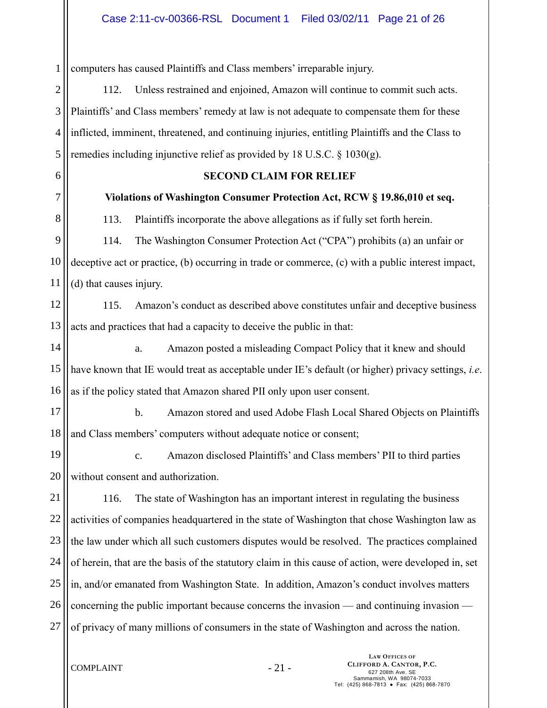1 computers has caused Plaintiffs and Class members' irreparable injury.

2 3 4 5 112. Unless restrained and enjoined, Amazon will continue to commit such acts. Plaintiffs' and Class members' remedy at law is not adequate to compensate them for these inflicted, imminent, threatened, and continuing injuries, entitling Plaintiffs and the Class to remedies including injunctive relief as provided by 18 U.S.C. § 1030(g).

6

7

## **SECOND CLAIM FOR RELIEF**

### **Violations of Washington Consumer Protection Act, RCW § 19.86,010 et seq.**

8

113. Plaintiffs incorporate the above allegations as if fully set forth herein.

9 10 11 114. The Washington Consumer Protection Act ("CPA") prohibits (a) an unfair or deceptive act or practice, (b) occurring in trade or commerce, (c) with a public interest impact, (d) that causes injury.

12 13 115. Amazon's conduct as described above constitutes unfair and deceptive business acts and practices that had a capacity to deceive the public in that:

14 15 16 a. Amazon posted a misleading Compact Policy that it knew and should have known that IE would treat as acceptable under IE's default (or higher) privacy settings, *i.e*. as if the policy stated that Amazon shared PII only upon user consent.

17

18 b. Amazon stored and used Adobe Flash Local Shared Objects on Plaintiffs and Class members' computers without adequate notice or consent;

19 20 c. Amazon disclosed Plaintiffs' and Class members' PII to third parties without consent and authorization.

21 22 23 24 25 26 27 116. The state of Washington has an important interest in regulating the business activities of companies headquartered in the state of Washington that chose Washington law as the law under which all such customers disputes would be resolved. The practices complained of herein, that are the basis of the statutory claim in this cause of action, were developed in, set in, and/or emanated from Washington State. In addition, Amazon's conduct involves matters concerning the public important because concerns the invasion — and continuing invasion of privacy of many millions of consumers in the state of Washington and across the nation.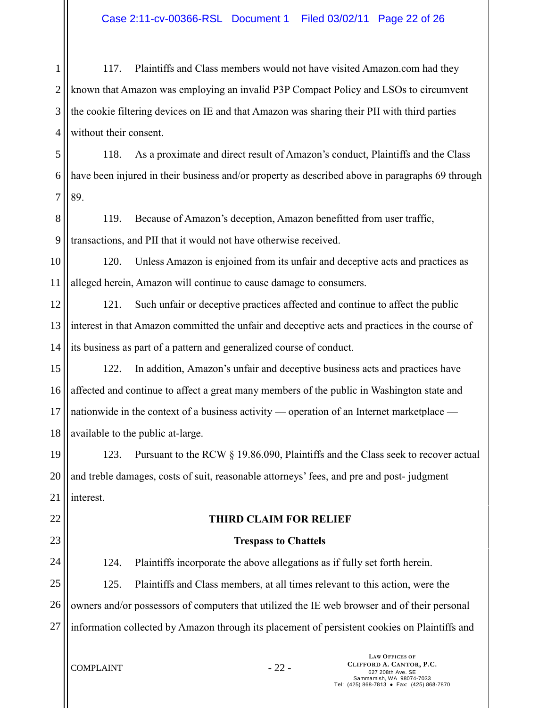1 2 3 4 117. Plaintiffs and Class members would not have visited Amazon.com had they known that Amazon was employing an invalid P3P Compact Policy and LSOs to circumvent the cookie filtering devices on IE and that Amazon was sharing their PII with third parties without their consent.

5 6 7 118. As a proximate and direct result of Amazon's conduct, Plaintiffs and the Class have been injured in their business and/or property as described above in paragraphs 69 through 89.

8 9 119. Because of Amazon's deception, Amazon benefitted from user traffic, transactions, and PII that it would not have otherwise received.

10 11 120. Unless Amazon is enjoined from its unfair and deceptive acts and practices as alleged herein, Amazon will continue to cause damage to consumers.

12 13 14 121. Such unfair or deceptive practices affected and continue to affect the public interest in that Amazon committed the unfair and deceptive acts and practices in the course of its business as part of a pattern and generalized course of conduct.

15 16 17 18 122. In addition, Amazon's unfair and deceptive business acts and practices have affected and continue to affect a great many members of the public in Washington state and nationwide in the context of a business activity — operation of an Internet marketplace available to the public at-large.

19 20 21 123. Pursuant to the RCW § 19.86.090, Plaintiffs and the Class seek to recover actual and treble damages, costs of suit, reasonable attorneys' fees, and pre and post- judgment interest.

- 22
- 23

# **THIRD CLAIM FOR RELIEF**

## **Trespass to Chattels**

24

124. Plaintiffs incorporate the above allegations as if fully set forth herein.

25 26 27 125. Plaintiffs and Class members, at all times relevant to this action, were the owners and/or possessors of computers that utilized the IE web browser and of their personal information collected by Amazon through its placement of persistent cookies on Plaintiffs and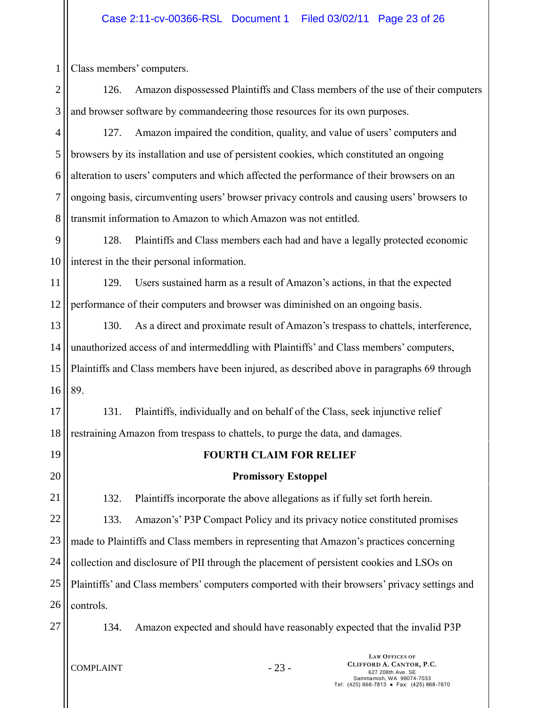1 Class members' computers.

2 3 126. Amazon dispossessed Plaintiffs and Class members of the use of their computers and browser software by commandeering those resources for its own purposes.

4 5 6 7 8 127. Amazon impaired the condition, quality, and value of users' computers and browsers by its installation and use of persistent cookies, which constituted an ongoing alteration to users' computers and which affected the performance of their browsers on an ongoing basis, circumventing users' browser privacy controls and causing users' browsers to transmit information to Amazon to which Amazon was not entitled.

9 10 128. Plaintiffs and Class members each had and have a legally protected economic interest in the their personal information.

11 12 129. Users sustained harm as a result of Amazon's actions, in that the expected performance of their computers and browser was diminished on an ongoing basis.

13 14 15 16 130. As a direct and proximate result of Amazon's trespass to chattels, interference, unauthorized access of and intermeddling with Plaintiffs' and Class members' computers, Plaintiffs and Class members have been injured, as described above in paragraphs 69 through 89.

17 18 131. Plaintiffs, individually and on behalf of the Class, seek injunctive relief restraining Amazon from trespass to chattels, to purge the data, and damages.

19

20

**FOURTH CLAIM FOR RELIEF**

# **Promissory Estoppel**

21 22 23 24 25 26 132. Plaintiffs incorporate the above allegations as if fully set forth herein. 133. Amazon's' P3P Compact Policy and its privacy notice constituted promises made to Plaintiffs and Class members in representing that Amazon's practices concerning collection and disclosure of PII through the placement of persistent cookies and LSOs on Plaintiffs' and Class members' computers comported with their browsers' privacy settings and controls.

27

134. Amazon expected and should have reasonably expected that the invalid P3P

 $COMPLAINT$  - 23 -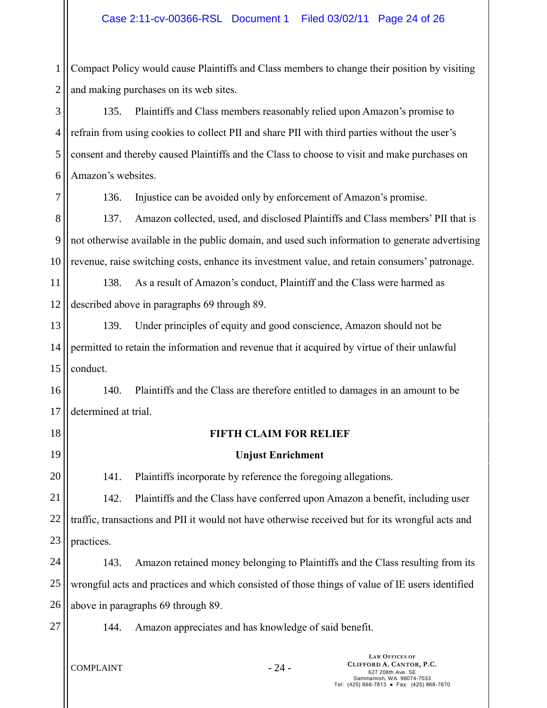1 2 Compact Policy would cause Plaintiffs and Class members to change their position by visiting and making purchases on its web sites.

3 4 5 6 135. Plaintiffs and Class members reasonably relied upon Amazon's promise to refrain from using cookies to collect PII and share PII with third parties without the user's consent and thereby caused Plaintiffs and the Class to choose to visit and make purchases on Amazon's websites.

7

136. Injustice can be avoided only by enforcement of Amazon's promise.

8 9 10 137. Amazon collected, used, and disclosed Plaintiffs and Class members' PII that is not otherwise available in the public domain, and used such information to generate advertising revenue, raise switching costs, enhance its investment value, and retain consumers' patronage.

11 12 138. As a result of Amazon's conduct, Plaintiff and the Class were harmed as described above in paragraphs 69 through 89.

13 14 15 139. Under principles of equity and good conscience, Amazon should not be permitted to retain the information and revenue that it acquired by virtue of their unlawful conduct.

16 17 140. Plaintiffs and the Class are therefore entitled to damages in an amount to be determined at trial.

18

19

20

## **FIFTH CLAIM FOR RELIEF**

### **Unjust Enrichment**

141. Plaintiffs incorporate by reference the foregoing allegations.

21 22 23 142. Plaintiffs and the Class have conferred upon Amazon a benefit, including user traffic, transactions and PII it would not have otherwise received but for its wrongful acts and practices.

24 25 26 143. Amazon retained money belonging to Plaintiffs and the Class resulting from its wrongful acts and practices and which consisted of those things of value of IE users identified above in paragraphs 69 through 89.

27

144. Amazon appreciates and has knowledge of said benefit.

 $COMPLAINT - 24 -$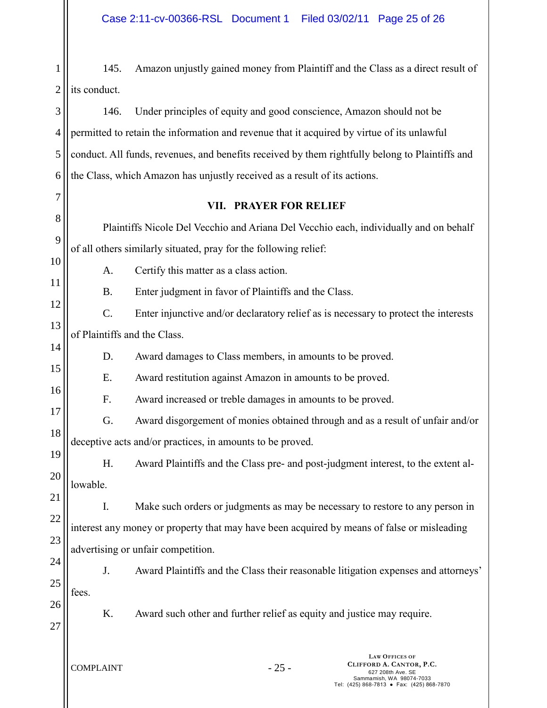1 2 145. Amazon unjustly gained money from Plaintiff and the Class as a direct result of its conduct.

3 4 5 6 146. Under principles of equity and good conscience, Amazon should not be permitted to retain the information and revenue that it acquired by virtue of its unlawful conduct. All funds, revenues, and benefits received by them rightfully belong to Plaintiffs and the Class, which Amazon has unjustly received as a result of its actions.

## **VII. PRAYER FOR RELIEF**

8 9 10 Plaintiffs Nicole Del Vecchio and Ariana Del Vecchio each, individually and on behalf of all others similarly situated, pray for the following relief:

A. Certify this matter as a class action.

B. Enter judgment in favor of Plaintiffs and the Class.

12 13 C. Enter injunctive and/or declaratory relief as is necessary to protect the interests of Plaintiffs and the Class.

D. Award damages to Class members, in amounts to be proved.

15 E. Award restitution against Amazon in amounts to be proved.

F. Award increased or treble damages in amounts to be proved.

- 17 18 G. Award disgorgement of monies obtained through and as a result of unfair and/or deceptive acts and/or practices, in amounts to be proved.
- 19 20 H. Award Plaintiffs and the Class pre- and post-judgment interest, to the extent allowable.

21 22 23 I. Make such orders or judgments as may be necessary to restore to any person in interest any money or property that may have been acquired by means of false or misleading advertising or unfair competition.

24 25 J. Award Plaintiffs and the Class their reasonable litigation expenses and attorneys' fees.

26

27

7

11

14

16

K. Award such other and further relief as equity and justice may require.

 $COMPLAINT$  - 25 -